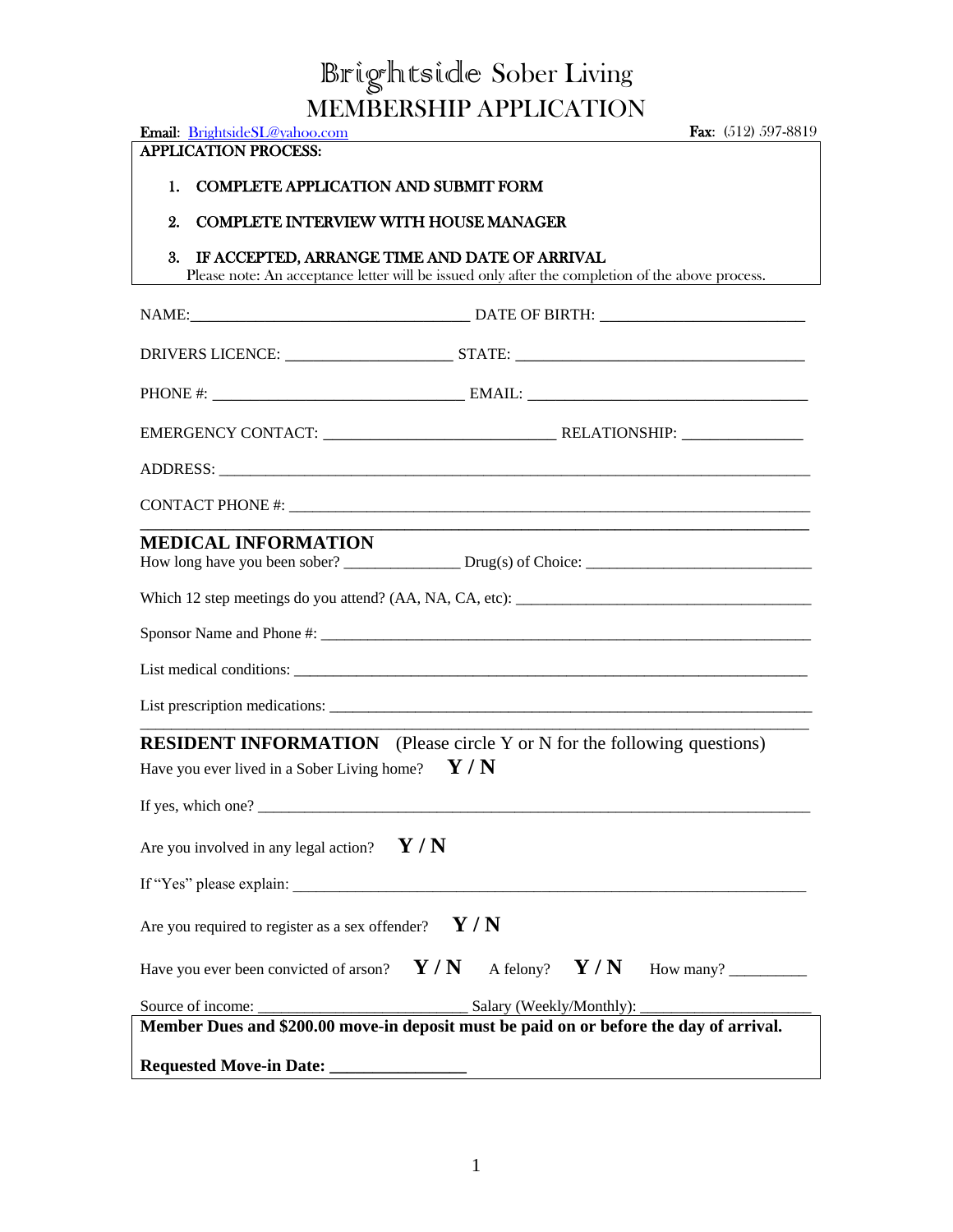## Brightside Sober Living MEMBERSHIP APPLICATION

| Email: BrightsideSL@yahoo.com<br><b>APPLICATION PROCESS:</b>     | <b>Fax:</b> $(512)$ 597-8819                                                                                                                      |
|------------------------------------------------------------------|---------------------------------------------------------------------------------------------------------------------------------------------------|
| <b>COMPLETE APPLICATION AND SUBMIT FORM</b><br>1.                |                                                                                                                                                   |
| 2.<br><b>COMPLETE INTERVIEW WITH HOUSE MANAGER</b>               |                                                                                                                                                   |
| 3.                                                               | IF ACCEPTED, ARRANGE TIME AND DATE OF ARRIVAL<br>Please note: An acceptance letter will be issued only after the completion of the above process. |
|                                                                  |                                                                                                                                                   |
|                                                                  |                                                                                                                                                   |
|                                                                  |                                                                                                                                                   |
|                                                                  |                                                                                                                                                   |
|                                                                  |                                                                                                                                                   |
|                                                                  |                                                                                                                                                   |
| <b>MEDICAL INFORMATION</b>                                       |                                                                                                                                                   |
|                                                                  |                                                                                                                                                   |
|                                                                  |                                                                                                                                                   |
|                                                                  |                                                                                                                                                   |
|                                                                  | List prescription medications:                                                                                                                    |
| Have you ever lived in a Sober Living home?                      | <b>RESIDENT INFORMATION</b> (Please circle Y or N for the following questions)<br>Y/N                                                             |
| If yes, which one?                                               |                                                                                                                                                   |
| Are you involved in any legal action?                            | Y/N                                                                                                                                               |
|                                                                  |                                                                                                                                                   |
| Are you required to register as a sex offender?                  | Y/N                                                                                                                                               |
| Have you ever been convicted of arson? $\mathbf{Y} / \mathbf{N}$ | A felony? $Y/N$                                                                                                                                   |
|                                                                  | Member Dues and \$200.00 move-in deposit must be paid on or before the day of arrival.                                                            |
| <b>Requested Move-in Date:</b>                                   |                                                                                                                                                   |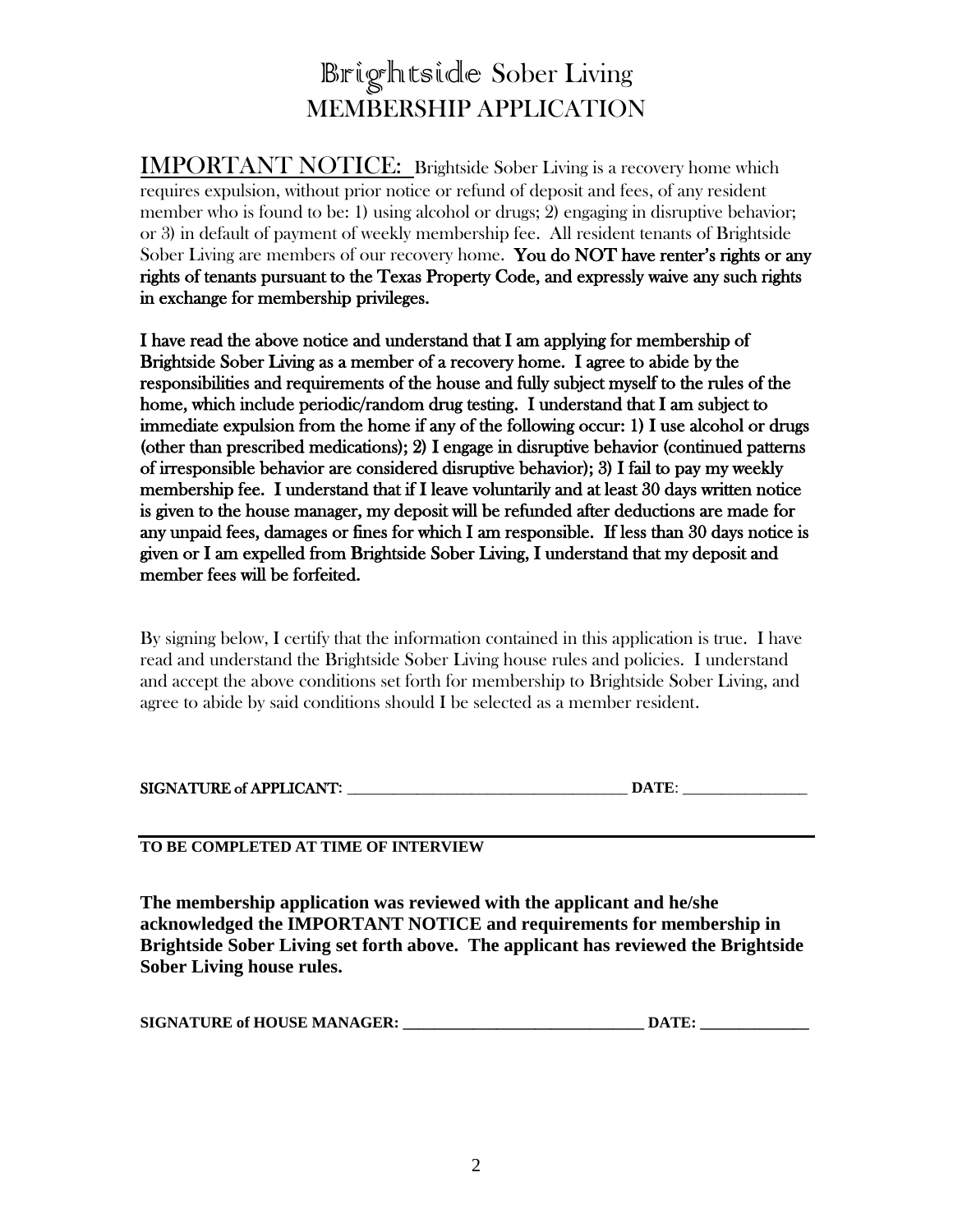## Brightside Sober Living MEMBERSHIP APPLICATION

IMPORTANT NOTICE: Brightside Sober Living is a recovery home which requires expulsion, without prior notice or refund of deposit and fees, of any resident member who is found to be: 1) using alcohol or drugs; 2) engaging in disruptive behavior; or 3) in default of payment of weekly membership fee. All resident tenants of Brightside Sober Living are members of our recovery home. You do NOT have renter's rights or any rights of tenants pursuant to the Texas Property Code, and expressly waive any such rights in exchange for membership privileges.

I have read the above notice and understand that I am applying for membership of Brightside Sober Living as a member of a recovery home. I agree to abide by the responsibilities and requirements of the house and fully subject myself to the rules of the home, which include periodic/random drug testing. I understand that I am subject to immediate expulsion from the home if any of the following occur: 1) I use alcohol or drugs (other than prescribed medications); 2) I engage in disruptive behavior (continued patterns of irresponsible behavior are considered disruptive behavior); 3) I fail to pay my weekly membership fee. I understand that if I leave voluntarily and at least 30 days written notice is given to the house manager, my deposit will be refunded after deductions are made for any unpaid fees, damages or fines for which I am responsible. If less than 30 days notice is given or I am expelled from Brightside Sober Living, I understand that my deposit and member fees will be forfeited.

By signing below, I certify that the information contained in this application is true. I have read and understand the Brightside Sober Living house rules and policies. I understand and accept the above conditions set forth for membership to Brightside Sober Living, and agree to abide by said conditions should I be selected as a member resident.

| <b>SIGNATURE of APPLICANT:</b> |  |
|--------------------------------|--|
|                                |  |

## **TO BE COMPLETED AT TIME OF INTERVIEW**

**The membership application was reviewed with the applicant and he/she acknowledged the IMPORTANT NOTICE and requirements for membership in Brightside Sober Living set forth above. The applicant has reviewed the Brightside Sober Living house rules.**

| <b>SIGNATURE of HOUSE MANAGER:</b> | <b>DATE</b> |
|------------------------------------|-------------|
|------------------------------------|-------------|